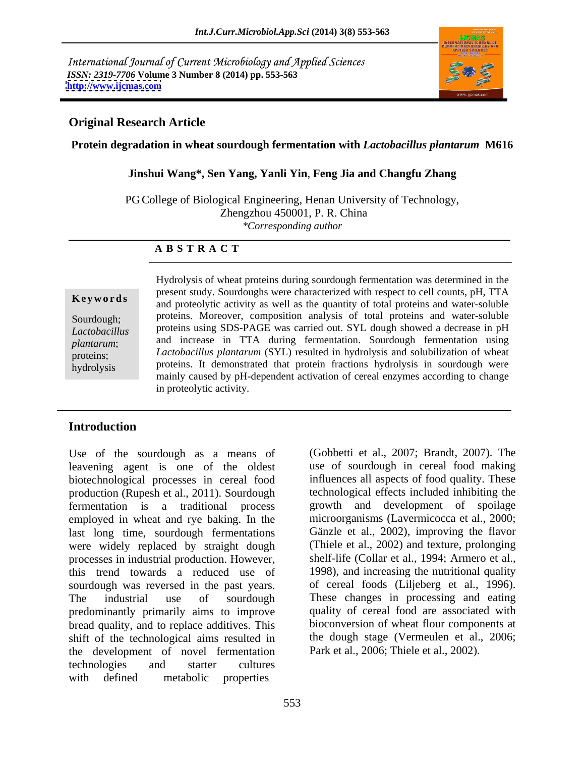International Journal of Current Microbiology and Applied Sciences *ISSN: 2319-7706* **Volume 3 Number 8 (2014) pp. 553-563 <http://www.ijcmas.com>**



#### **Original Research Article**

**Protein degradation in wheat sourdough fermentation with** *Lactobacillus plantarum* **M616**

**Jinshui Wang\*, Sen Yang, Yanli Yin**, **Feng Jia and Changfu Zhang**

PG College of Biological Engineering, Henan University of Technology, Zhengzhou 450001, P. R. China *\*Corresponding author* 

#### **A B S T R A C T**

**Keywords** present stay. Boardoughs were enfinited with respect to cent counts, pri, 1111 and proteolytic activity as well as the quantity of total proteins and water-soluble Sourdough; proteins. Moreover, composition analysis of total proteins and water-soluble *Lactobacillus*  proteins using SDS-PAGE was carried out. SYL dough showed a decrease in pH *plantarum*; and increase in TTA during fermentation. Sourdough fermentation using proteins; *Lactobacillus plantarum* (SYL) resulted in hydrolysis and solubilization of wheat hydrolysis proteins. It demonstrated that protein fractions hydrolysis in sourdough were Hydrolysis of wheat proteins during sourdough fermentation was determined in the present study. Sourdoughs were characterized with respect to cell counts, pH, TTA mainly caused by pH-dependent activation of cereal enzymes according to change in proteolytic activity.

# **Introduction**

Use of the sourdough as a means of leavening agent is one of the oldest biotechnological processes in cereal food production (Rupesh et al., 2011). Sourdough fermentation is a traditional process employed in wheat and rye baking. In the last long time, sourdough fermentations were widely replaced by straight dough processes in industrial production. However, this trend towards a reduced use of sourdough was reversed in the past years. The industrial use of sourdough These changes in processing and eating predominantly primarily aims to improve bread quality, and to replace additives. This shift of the technological aims resulted in the development of novel fermentation technologies and starter cultures with defined metabolic properties

(Gobbetti et al., 2007; Brandt, 2007). The use of sourdough in cereal food making influences all aspects of food quality. These technological effects included inhibiting the growth and development of spoilage microorganisms (Lavermicocca et al., 2000; Gänzle et al., 2002), improving the flavor (Thiele et al., 2002) and texture, prolonging shelf-life (Collar et al., 1994; Armero et al., 1998), and increasing the nutritional quality of cereal foods (Liljeberg et al., 1996). quality of cereal food are associated with bioconversion of wheat flour components at the dough stage (Vermeulen et al., 2006; Park et al., 2006; Thiele et al., 2002).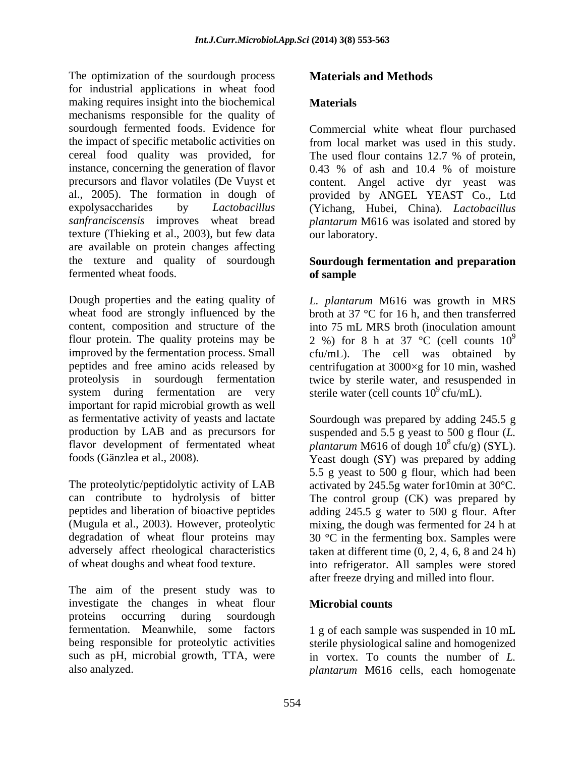The optimization of the sourdough process **Materials and Methods** for industrial applications in wheat food making requires insight into the biochemical **Materials** mechanisms responsible for the quality of sourdough fermented foods. Evidence for Commercial white wheat flour purchased the impact of specific metabolic activities on from local market was used in this study. cereal food quality was provided, for The used flour contains 12.7 % of protein, instance, concerning the generation of flavor  $0.43\%$  of ash and 10.4 % of moisture precursors and flavor volatiles (De Vuyst et content. Angel active dyr yeast was al., 2005). The formation in dough of provided by ANGEL YEAST Co., Ltd expolysaccharides by *Lactobacillus*  (Yichang, Hubei, China). *Lactobacillus sanfranciscensis* improves wheat bread *plantarum* M616 was isolated and stored by texture (Thieking et al., 2003), but few data are available on protein changes affecting<br>the texture and quality of sourdough the texture and quality of sourdough **Sourdough fermentation and preparation** The contrained of the south of the south of the south of the south of the south of the south of the south of the south of the south of the south of the south of the south of the south of the south of the south of the sout

fermented wheat foods.<br>
Dough properties and the eating quality of  $L.$  plantarum M616 was growth in MRS wheat food are strongly influenced by the broth at  $37 \text{ °C}$  for 16 h, and then transferred content, composition and structure of the flour protein. The quality proteins may be  $\qquad$  2 %) for 8 h at 37 °C (cell counts 10<sup>9</sup> improved by the fermentation process. Small cfu/mL). The cell was obtained by peptides and free amino acids released by centrifugation at 3000×g for 10 min, washed proteolysis in sourdough fermentation twice by sterile water, and resuspended in system during fermentation are very important for rapid microbial growth as well as fermentative activity of yeasts and lactate Sourdough was prepared by adding 245.5 g production by LAB and as precursors for suspended and 5.5 g yeast to 500 g flour (*L.*  flavor development of fermentated wheat plantarum M616 of dough  $10^8$  cfu/g) (SYL).

can contribute to hydrolysis of bitter The control group (CK) was prepared by peptides and liberation of bioactive peptides adding 245.5 g water to 500 g flour. After (Mugula et al., 2003). However, proteolytic degradation of wheat flour proteins may  $30 °C$  in the fermenting box. Samples were adversely affect rheological characteristics taken at different time (0, 2, 4, 6, 8 and 24 h)

The aim of the present study was to investigate the changes in wheat flour **Microbial counts** proteins occurring during sourdough proteins occurring during  $\alpha$ fermentation. Meanwhile, some factors 1 g of each sample was suspended in 10 mL being responsible for proteolytic activities sterile physiological saline and homogenized such as pH, microbial growth, TTA, were

### **Materials**

0.43 % of ash and 10.4 % of moisture our laboratory.

# **of sample**

*L. plantarum* M616 was growth in MRS into 75 mL MRS broth (inoculation amount 9 sterile water (cell counts  $10^9$  cfu/mL).

foods (Gänzlea et al., 2008).<br>
The proteolytic/peptidolytic activity of LAB<br>
The proteolytic/peptidolytic activity of LAB<br>
The proteolytic/peptidolytic activity of LAB<br>
The proteolytic/peptidolytic activity of LAB<br>
The pro of wheat doughs and wheat food texture. into refrigerator. All samples were stored  $^8$  cfu/g) (SYL). Yeast dough (SY) was prepared by adding 5.5 g yeast to 500 g flour, which had been activated by 245.5g water for10min at 30°C. mixing, the dough was fermented for 24 h at after freeze drying and milled into flour.

#### **Microbial counts**

in vortex. To counts the number of *L. plantarum* M616 cells, each homogenate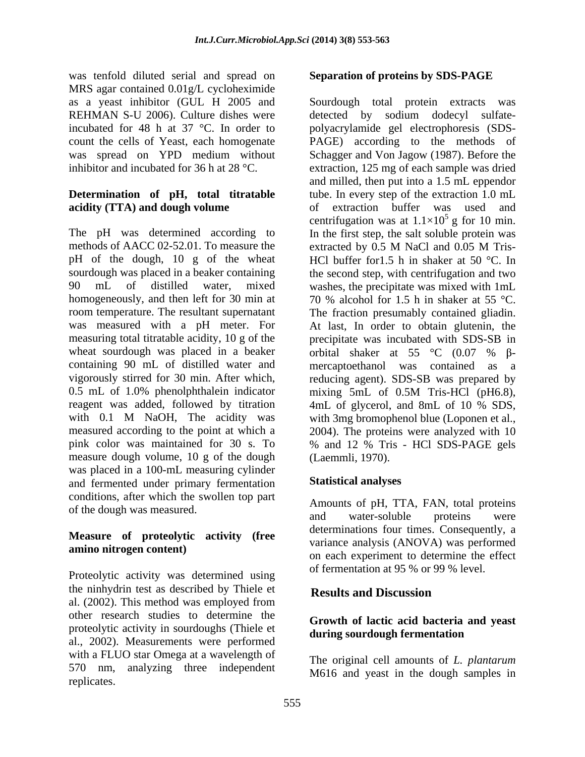was tenfold diluted serial and spread on MRS agar contained 0.01g/L cycloheximide REHMAN S-U 2006). Culture dishes were detected by sodium dodecyl sulfate-

## **Determination of pH, total titratable acidity (TTA) and dough volume** of extraction buffer was used and

methods of AACC 02-52.01. To measure the extracted by 0.5 M NaCl and 0.05 M Triswheat sourdough was placed in a beaker orbital shaker at  $55 °C$  (0.07 %  $\beta$ containing 90 mL of distilled water and mercaptoethanol was contained as a vigorously stirred for 30 min. After which, measure dough volume, 10 g of the dough was placed in a 100-mL measuring cylinder and fermented under primary fermentation conditions, after which the swollen top part

# **Measure of proteolytic activity (free**

Proteolytic activity was determined using the ninhydrin test as described by Thiele et al. (2002). This method was employed from other research studies to determine the proteolytic activity in sourdoughs (Thiele et al., 2002). Measurements were performed with a FLUO star Omega at a wavelength of 570 nm, analyzing three independent replicates.

# **Separation of proteins by SDS-PAGE**

as a yeast inhibitor (GUL H 2005 and Sourdough total protein extracts was incubated for 48 h at 37 °C. In order to polyacrylamide gel electrophoresis (SDS count the cells of Yeast, each homogenate PAGE) according to the methods of was spread on YPD medium without Schagger and Von Jagow (1987). Before the inhibitor and incubated for 36 h at 28 °C. extraction, 125 mg of each sample was dried The pH was determined according to In the first step, the salt soluble protein was pH of the dough, 10 g of the wheat HCl buffer for1.5 h in shaker at 50 °C. In sourdough was placed in a beaker containing the second step, with centrifugation and two 90 mL of distilled water, mixed washes, the precipitate was mixed with 1mL homogeneously, and then left for 30 min at  $\qquad 70\%$  alcohol for 1.5 h in shaker at 55 °C. room temperature. The resultant supernatant The fraction presumably contained gliadin. was measured with a pH meter. For At last, In order to obtain glutenin, the measuring total titratable acidity, 10 g of the precipitate was incubated with SDS-SB in 0.5 mL of 1.0% phenolphthalein indicator mixing 5mL of 0.5M Tris-HCl (pH6.8), reagent was added, followed by titration 4mL of glycerol, and 8mL of 10 % SDS, with 0.1 M NaOH, The acidity was with 3mg bromophenol blue (Loponen et al., measured according to the point at which a 2004). The proteins were analyzed with 10 pink color was maintained for 30 s. To % and 12 % Tris - HCl SDS-PAGE gels detected by sodium dodecyl sulfate and milled, then put into a 1.5 mL eppendor tube. In every step of the extraction 1.0 mL extraction buffer was used centrifugation was at  $1.1 \times 10^5$  g for 10 min.  $<sup>5</sup>$  g for 10 min.</sup> extracted by 0.5 M NaCl and 0.05 M Tris orbital shaker at 55  $\degree$ C (0.07 %  $\beta$ mercaptoethanol was contained as a reducing agent). SDS-SB was prepared by (Laemmli, 1970).

# **Statistical analyses**

of the dough was measured.<br>and water-soluble proteins were **amino nitrogen content)**  $\qquad \qquad \text{on each experiment to determine the effect}$ Amounts of pH, TTA, FAN, total proteins and water-soluble proteins were determinations four times. Consequently, a variance analysis (ANOVA) was performed of fermentation at 95 % or 99 % level.

# **Results and Discussion**

### **Growth of lactic acid bacteria and yeast during sourdough fermentation**

The original cell amounts of *L. plantarum* M616 and yeast in the dough samples in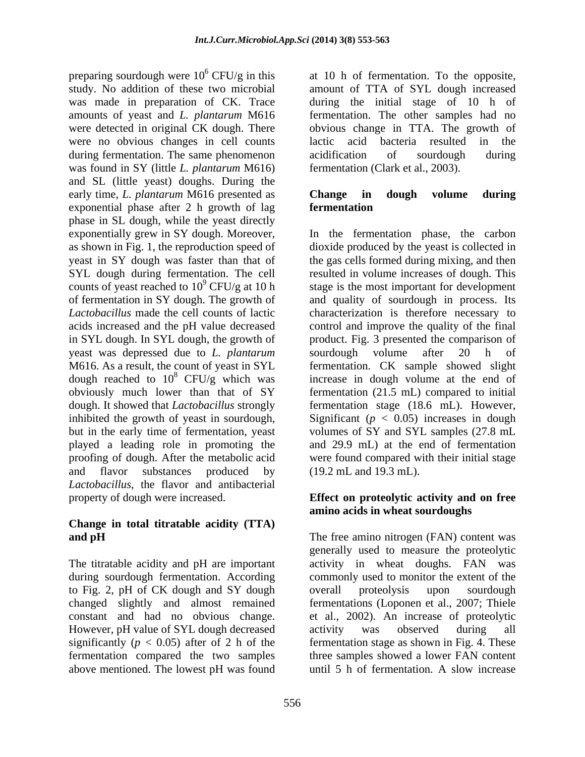preparing sourdough were  $10^6$  CFU/g in this study. No addition of these two microbial amount of TTA of SYL dough increased was made in preparation of CK. Trace during the initial stage of 10 h of amounts of yeast and *L. plantarum* M616 fermentation. The other samples had no were detected in original CK dough. There obvious change in TTA. The growth of were no obvious changes in cell counts lactic acid bacteria resulted in the during fermentation. The same phenomenon acidification of sourdough during was found in SY (little *L. plantarum* M616) and SL (little yeast) doughs. During the early time, *L. plantarum* M616 presented as exponential phase after 2 h growth of lag phase in SL dough, while the yeast directly SYL dough during fermentation. The cell yeast was depressed due to *L. plantarum Lactobacillus*, the flavor and antibacterial

# **Change in total titratable acidity (TTA)**

to Fig. 2, pH of CK dough and SY dough overall proteolysis upon sourdough However, pH value of SYL dough decreased activity was observed during all above mentioned. The lowest pH was found until 5 h of fermentation. A slow increase

at 10 h of fermentation. To the opposite, lactic acid bacteria resulted in the acidification of sourdough during fermentation (Clark et al., 2003).

# **Change in dough volume during fermentation**

exponentially grew in SY dough. Moreover, In the fermentation phase, the carbon as shown in Fig. 1, the reproduction speed of dioxide produced by the yeast is collected in yeast in SY dough was faster than that of the gas cells formed during mixing, and then counts of yeast reached to  $10^9$  CFU/g at 10 h stage is the most important for development of fermentation in SY dough. The growth of and quality of sourdough in process. Its *Lactobacillus* made the cell counts of lactic characterization is therefore necessary to acids increased and the pH value decreased control and improve the quality of the final in SYL dough. In SYL dough, the growth of product. Fig. 3 presented the comparison of M616. As a result, the count of yeast in SYL fermentation. CK sample showed slight dough reached to  $10^8$  CFU/g which was increase in dough volume at the end of obviously much lower than that of SY fermentation (21.5 mL) compared to initial dough. It showed that *Lactobacillus* strongly fermentation stage (18.6 mL). However, inhibited the growth of yeast in sourdough, Significant  $(p < 0.05)$  increases in dough but in the early time of fermentation, yeast volumes of SY and SYL samples  $(27.8 \text{ mL})$ played a leading role in promoting the and 29.9 mL) at the end of fermentation proofing of dough. After the metabolic acid were found compared with their initial stage and flavor substances produced by (19.2 mL and 19.3 mL). resulted in volume increases of dough. This sourdough volume after 20 h of Significant ( $p < 0.05$ ) increases in dough volumes of SY and SYL samples (27.8 mL (19.2 mL and 19.3 mL).

# property of dough were increased. **Effect on proteolytic activity and on free amino acids in wheat sourdoughs**

**and pH** The free amino nitrogen (FAN) content was The titratable acidity and pH are important activity in wheat doughs. FAN was during sourdough fermentation. According commonly used to monitor the extent of the changed slightly and almost remained fermentations (Loponen et al., 2007; Thiele constant and had no obvious change. et al., 2002). An increase of proteolytic significantly  $(p < 0.05)$  after of 2 h of the fermentation stage as shown in Fig. 4. These fermentation compared the two samples three samples showed a lower FAN content generally used to measure the proteolytic overall proteolysis upon sourdough activity was observed during all until 5 h of fermentation. A slow increase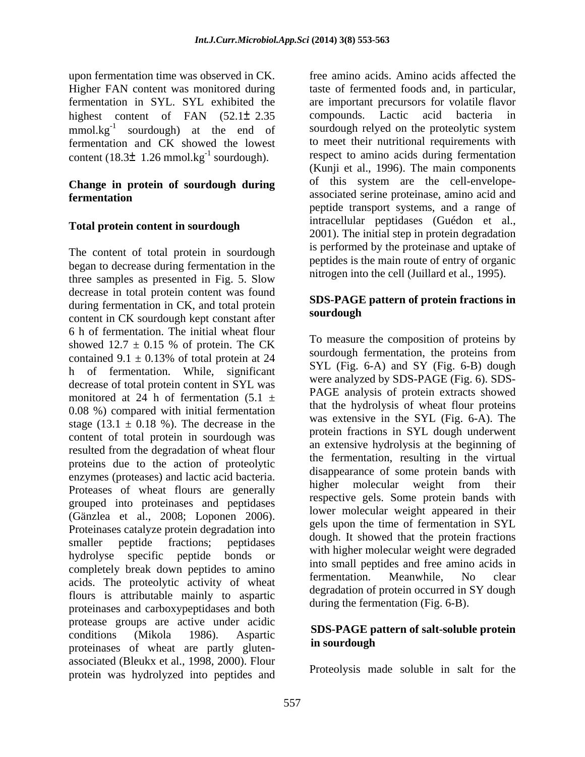upon fermentation time was observed in CK. Higher FAN content was monitored during highest content of FAN (52.1± 2.35 compounds. Lactic acid bacteria in mmol.kg<sup>-1</sup> sourdough) at the end of fermentation and CK showed the lowest content (18.3 $\pm$  1.26 mmol.kg<sup>-1</sup> sourdough).

# **Change in protein of sourdough during**

### **Total protein content in sourdough**

The content of total protein in sourdough began to decrease during fermentation in the three samples as presented in Fig. 5. Slow decrease in total protein content was found during fermentation in CK, and total protein<br>sources of the second protein sources of the sources of the source of the source of the source of the source of the source of the source of the source of the source of the sourc content in CK sourdough kept constant after 6 h of fermentation. The initial wheat flour contained  $9.1 \pm 0.13\%$  of total protein at 24 h of fermentation. While, significant decrease of total protein content in SYL was monitored at 24 h of fermentation  $(5.1 \pm$ 0.08 %) compared with initial fermentation stage (13.1  $\pm$  0.18 %). The decrease in the content of total protein in sourdough was resulted from the degradation of wheat flour proteins due to the action of proteolytic enzymes (proteases) and lactic acid bacteria. grouped into proteinases and peptidases hydrolyse specific peptide bonds or completely break down peptides to amino<br>contraction. Meanwhile, No clear<br>contraction. Meanwhile, No clear acids. The proteolytic activity of wheat flours is attributable mainly to aspartic proteinases and carboxypeptidases and both protease groups are active under acidic conditions (Mikola 1986). Aspartic SDS-FAGE pattern of sare-solutive protein proteinases of wheat are partly gluten-<br>in sourdough associated (Bleukx et al., 1998, 2000). Flour protein was hydrolyzed into peptides and

fermentation in SYL. SYL exhibited the are important precursors for volatile flavor sourdough) at the end of sourdough relyed on the proteolytic system sourdough). respect to amino acids during fermentation **fermentation** free amino acids. Amino acids affected the taste of fermented foods and, in particular, compounds. Lactic acid bacteria in to meet their nutritional requirements with (Kunji et al., 1996). The main components of this system are the cell-envelope peptide transport systems, and a range of intracellular peptidases (Guédon et al., 2001). The initial step in protein degradation is performed by the proteinase and uptake of peptides is the main route of entry of organic nitrogen into the cell (Juillard et al., 1995).

### **SDS-PAGE pattern of protein fractions in sourdough**

showed  $12.7 \pm 0.15$  % of protein. The CK  $\frac{10 \text{ meters}}{1 \text{ meters}}$  and composition of proteins by enzymes (proteases) and lactic acid bacteria.<br>Proteases of wheat flours are generally higher molecular weight from their (Gänzlea et al., 2008; Loponen 2006). We holecular weight appeared in their proteinases catalyze protein degradation into  $\frac{1}{2}$  and  $\frac{1}{2}$  and  $\frac{1}{2}$  and  $\frac{1}{2}$  and  $\frac{1}{2}$  and  $\frac{1}{2}$  and  $\frac{1}{2}$  and smaller peptide fractions; peptidases usually usually with higher molecular weight were degraded<br>hydrolyge specific peptide bonds or To measure the composition of proteins by sourdough fermentation, the proteins from SYL (Fig. 6-A) and SY (Fig. 6-B) dough were analyzed by SDS-PAGE (Fig. 6). SDS- PAGE analysis of protein extracts showed that the hydrolysis of wheat flour proteins was extensive in the SYL (Fig. 6-A). The protein fractions in SYL dough underwent an extensive hydrolysis at the beginning of the fermentation, resulting in the virtual disappearance of some protein bands with higher molecular weight from their respective gels. Some protein bands with lower molecular weight appeared in their gels upon the time of fermentation in SYL dough. It showed that the protein fractions into small peptides and free amino acids in fermentation. Meanwhile, No clear degradation of protein occurred in SY dough during the fermentation (Fig. 6-B).

#### **SDS-PAGE pattern of salt-soluble protein in sourdough**

Proteolysis made soluble in salt for the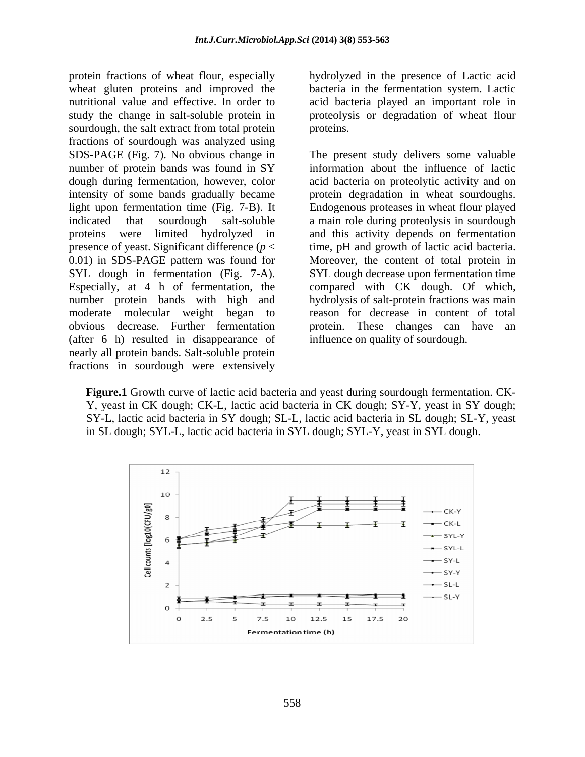protein fractions of wheat flour, especially hydrolyzed in the presence of Lactic acid wheat gluten proteins and improved the bacteria in the fermentation system. Lactic nutritional value and effective. In order to acid bacteria played an important role in study the change in salt-soluble protein in proteolysis or degradation of wheat flour sourdough, the salt extract from total protein proteins. fractions of sourdough was analyzed using SDS-PAGE (Fig. 7). No obvious change in The present study delivers some valuable number of protein bands was found in SY 0.01) in SDS-PAGE pattern was found for (after 6 h) resulted in disappearance of nearly all protein bands. Salt-soluble protein fractions in sourdough were extensively

proteins.

dough during fermentation, however, color acid bacteria on proteolytic activity and on intensity of some bands gradually became protein degradation in wheat sourdoughs. light upon fermentation time (Fig. 7-B). It Endogenous proteases in wheat flour played indicated that sourdough salt-soluble a main role during proteolysis in sourdough proteins were limited hydrolyzed in and this activity depends on fermentation presence of yeast. Significant difference  $(p <$  time, pH and growth of lactic acid bacteria. SYL dough in fermentation (Fig. 7-A). SYL dough decrease upon fermentation time Especially, at 4 h of fermentation, the compared with CK dough. Of which, number protein bands with high and hydrolysis of salt-protein fractions was main moderate molecular weight began to reason for decrease in content of total obvious decrease. Further fermentation protein. These changes can have an The present study delivers some valuable information about the influence of lactic Moreover, the content of total protein in influence on quality of sourdough.

**Figure.1** Growth curve of lactic acid bacteria and yeast during sourdough fermentation. CK- Y, yeast in CK dough; CK-L, lactic acid bacteria in CK dough; SY-Y, yeast in SY dough; SY-L, lactic acid bacteria in SY dough; SL-L, lactic acid bacteria in SL dough; SL-Y, yeast in SL dough; SYL-L, lactic acid bacteria in SYL dough; SYL-Y, yeast in SYL dough.

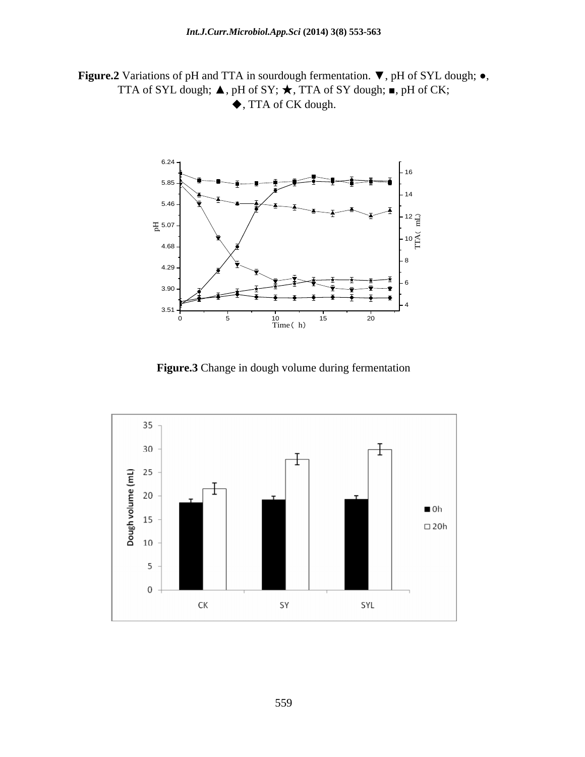**Figure.2** Variations of pH and TTA in sourdough fermentation.  $\nabla$ , pH of SYL dough;  $\bullet$ , TTA of SYL dough;  $\nabla$ , pH of CK;  $\blacklozenge$ , TTA of CK dough.



**Figure.3** Change in dough volume during fermentation

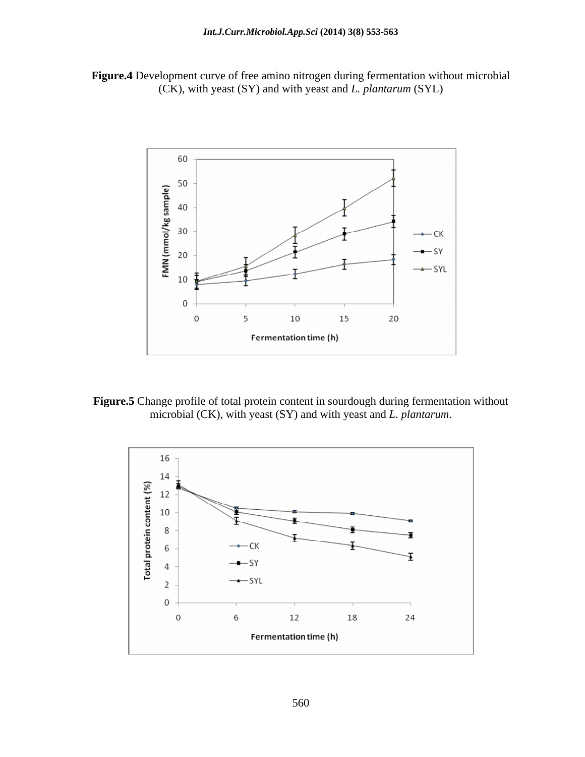



**Figure.5** Change profile of total protein content in sourdough during fermentation without microbial (CK), with yeast (SY) and with yeast and *L. plantarum*.

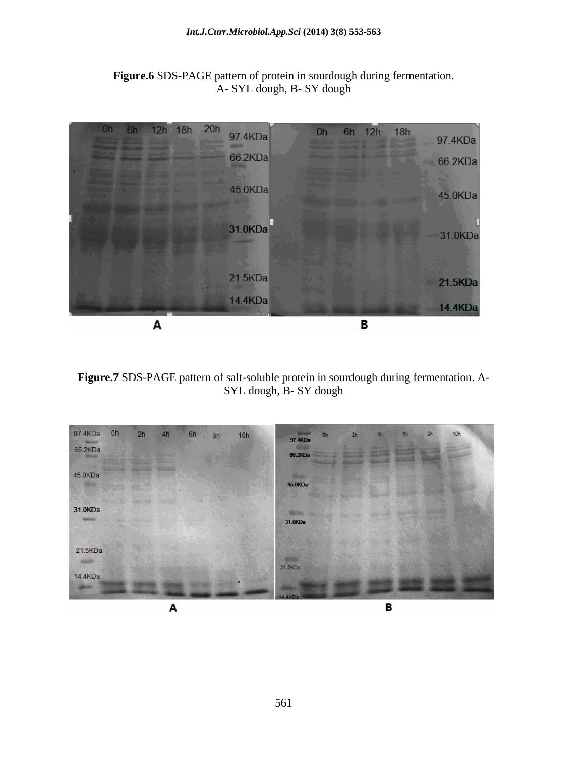

**Figure.6** SDS-PAGE pattern of protein in sourdough during fermentation. A- SYL dough, B- SY dough

**Figure.7** SDS-PAGE pattern of salt-soluble protein in sourdough during fermentation. A- SYL dough, B- SY dough

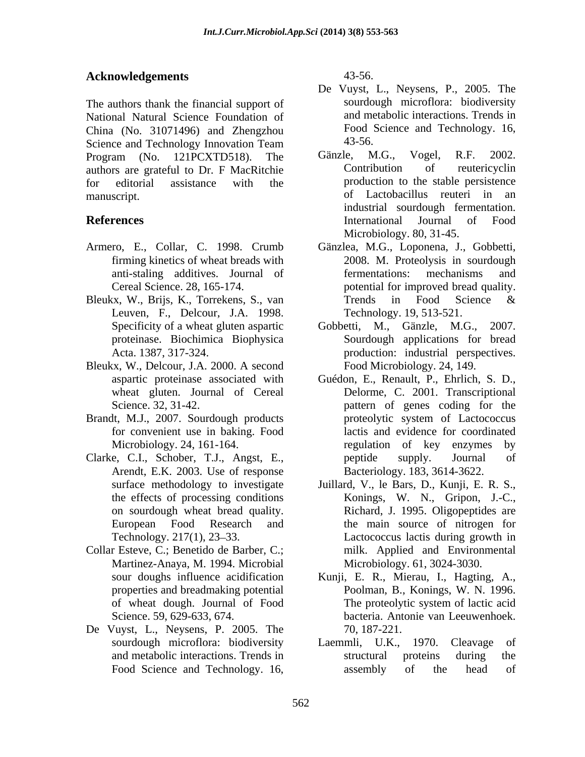# **Acknowledgements**

The authors thank the financial support of National Natural Science Foundation of China (No. 31071496) and Zhengzhou Food Science and Technology Innovation Team 43-56. Science and Technology Innovation Team<br>Program (No. 121PCXTD518) The Gänzle, M.G., Vogel, R.F. 2002. Program (No. 121PCXTD518). The Gänzle, M.G., Vogel, R.F. 2002. authors are grateful to Dr. F MacRitchie for editorial assistance with the production to the stable persistence manuscript. of Lactobacillus reuteri in an

- 
- Bleukx, W., Brijs, K., Torrekens, S., van Trends in Food Science & Leuven, F., Delcour, J.A. 1998.
- Bleukx, W., Delcour, J.A. 2000. A second Food Microbiology. 24, 149. wheat gluten. Journal of Cereal
- Brandt, M.J., 2007. Sourdough products proteolytic system of Lactococcus
- Arendt, E.K. 2003. Use of response
- Collar Esteve, C.; Benetido de Barber, C.; Martinez-Anaya, M. 1994. Microbial
- De Vuyst, L., Neysens, P. 2005. The

43-56.

- De Vuyst, L., Neysens, P., 2005. The sourdough microflora: biodiversity and metabolic interactions. Trends in Food Science and Technology. 16, 43-56.
- **References Example 2 International Journal of Food** Gänzle, M.G., Vogel, R.F. 2002. Contribution of reutericyclin industrial sourdough fermentation. International Journal of Food Microbiology. 80, 31-45.
- Armero, E., Collar, C. 1998. Crumb Gänzlea, M.G., Loponena, J., Gobbetti, firming kinetics of wheat breads with 2008. M. Proteolysis in sourdough anti-staling additives. Journal of Cereal Science. 28, 165-174. potential for improved bread quality. fermentations: mechanisms and Trends in Food Science & Technology. 19, 513-521.
	- Specificity of a wheat gluten aspartic Gobbetti, M., Gänzle, M.G., 2007. proteinase. Biochimica Biophysica Sourdough applications for bread Acta. 1387, 317-324. production: industrial perspectives. Food Microbiology. 24, 149.
- aspartic proteinase associated with Guédon, E., Renault, P., Ehrlich, S. D., Science. 32, 31-42. The pattern of genes coding for the for convenient use in baking. Food lactis and evidence for coordinated Microbiology. 24, 161-164. regulation of key enzymes by Clarke, C.I., Schober, T.J., Angst, E., Delorme, C.2001. Transcriptional proteolytic system of Lactococcus peptide supply. Journal of Bacteriology. 183, 3614-3622.
	- surface methodology to investigate Juillard, V., le Bars, D., Kunji, E. R. S., the effects of processing conditions Konings, W. N., Gripon, J.-C., on sourdough wheat bread quality. Richard, J. 1995. Oligopeptides are European Food Research and the main source of nitrogen for Technology. 217(1), 23–33. Lactococcus lactis during growth in milk. Applied and Environmental Microbiology. 61, 3024-3030.
	- sour doughs influence acidification Kunji, E. R., Mierau, I., Hagting, A., properties and breadmaking potential Poolman, B., Konings, W. N. 1996. of wheat dough. Journal of Food<br>
	Science. 59, 629-633, 674.<br>
	The proteolytic system of lactic acid<br>
	bacteria. Antonie van Leeuwenhoek. Science. 59, 629-633, 674. bacteria. Antonie van Leeuwenhoek. The proteolytic system of lactic acid 70, 187-221.
	- sourdough microflora: biodiversity Laemmli, U.K., 1970. Cleavage of and metabolic interactions. Trends in Food Science and Technology. 16, assembly of the head of Laemmli, U.K., 1970. Cleavage of structural proteins during the assembly of the head of